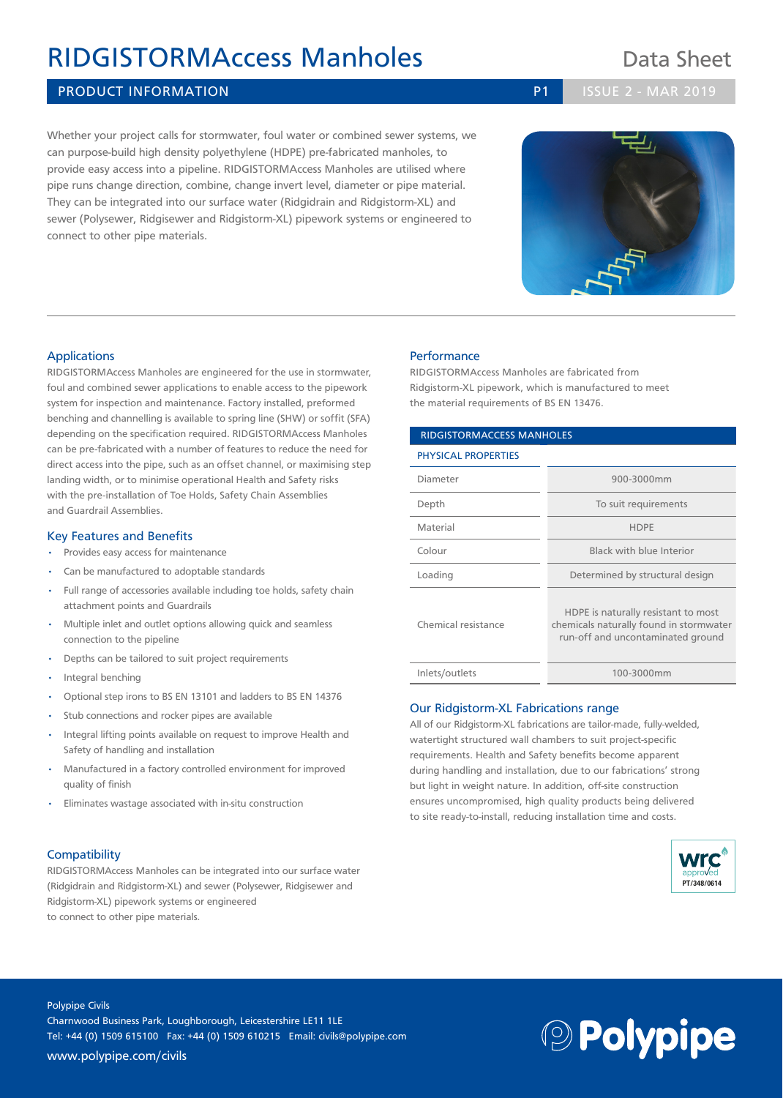# RIDGISTORMAccess Manholes Data Sheet

### PRODUCT INFORMATION **PRODUCT INFORMATION P1 P1** ISSUE 2 - MAR 2019

Whether your project calls for stormwater, foul water or combined sewer systems, we can purpose-build high density polyethylene (HDPE) pre-fabricated manholes, to provide easy access into a pipeline. RIDGISTORMAccess Manholes are utilised where pipe runs change direction, combine, change invert level, diameter or pipe material. They can be integrated into our surface water (Ridgidrain and Ridgistorm-XL) and sewer (Polysewer, Ridgisewer and Ridgistorm-XL) pipework systems or engineered to connect to other pipe materials.

### **Performance**

RIDGISTORMAccess Manholes are fabricated from Ridgistorm-XL pipework, which is manufactured to meet the material requirements of BS EN 13476.

| <b>RIDGISTORMACCESS MANHOLES</b> |                                                                                                                     |
|----------------------------------|---------------------------------------------------------------------------------------------------------------------|
| <b>PHYSICAL PROPERTIES</b>       |                                                                                                                     |
| Diameter                         | 900-3000mm                                                                                                          |
| Depth                            | To suit requirements                                                                                                |
| Material                         | <b>HDPF</b>                                                                                                         |
| Colour                           | Black with blue Interior                                                                                            |
| Loading                          | Determined by structural design                                                                                     |
| Chemical resistance              | HDPE is naturally resistant to most<br>chemicals naturally found in stormwater<br>run-off and uncontaminated ground |
| Inlets/outlets                   | 100-3000mm                                                                                                          |

#### Our Ridgistorm-XL Fabrications range

All of our Ridgistorm-XL fabrications are tailor-made, fully-welded, watertight structured wall chambers to suit project-specific requirements. Health and Safety benefits become apparent during handling and installation, due to our fabrications' strong but light in weight nature. In addition, off-site construction ensures uncompromised, high quality products being delivered to site ready-to-install, reducing installation time and costs.



### Applications

RIDGISTORMAccess Manholes are engineered for the use in stormwater, foul and combined sewer applications to enable access to the pipework system for inspection and maintenance. Factory installed, preformed benching and channelling is available to spring line (SHW) or soffit (SFA) depending on the specification required. RIDGISTORMAccess Manholes can be pre-fabricated with a number of features to reduce the need for direct access into the pipe, such as an offset channel, or maximising step landing width, or to minimise operational Health and Safety risks with the pre-installation of Toe Holds, Safety Chain Assemblies and Guardrail Assemblies.

#### Key Features and Benefits

- Provides easy access for maintenance
- Can be manufactured to adoptable standards
- Full range of accessories available including toe holds, safety chain attachment points and Guardrails
- Multiple inlet and outlet options allowing quick and seamless connection to the pipeline
- Depths can be tailored to suit project requirements
- Integral benching
- Optional step irons to BS EN 13101 and ladders to BS EN 14376
- Stub connections and rocker pipes are available
- Integral lifting points available on request to improve Health and Safety of handling and installation
- Manufactured in a factory controlled environment for improved quality of finish
- Eliminates wastage associated with in-situ construction

### **Compatibility**

RIDGISTORMAccess Manholes can be integrated into our surface water (Ridgidrain and Ridgistorm-XL) and sewer (Polysewer, Ridgisewer and Ridgistorm-XL) pipework systems or engineered to connect to other pipe materials.

Polypipe Civils Charnwood Business Park, Loughborough, Leicestershire LE11 1LE Tel: +44 (0) 1509 615100 Fax: +44 (0) 1509 610215 Email: civils@polypipe.com www.polypipe.com/civils





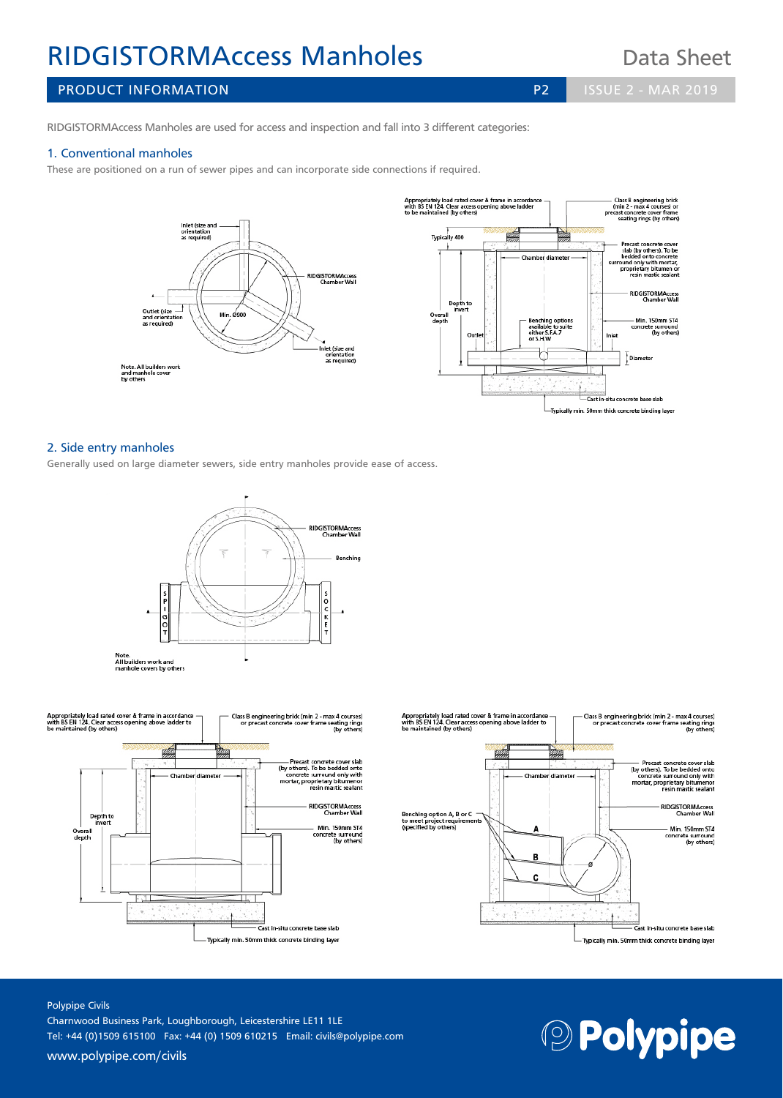# RIDGISTORMAccess Manholes Data Sheet

PRODUCT INFORMATION **PRODUCT INFORMATION P2 ISSUE 2 - MAR 2019** 

RIDGISTORMAccess Manholes are used for access and inspection and fall into 3 different categories:

### 1. Conventional manholes

These are positioned on a run of sewer pipes and can incorporate side connections if required.



### 2. Side entry manholes

Generally used on large diameter sewers, side entry manholes provide ease of access.







### Polypipe Civils Charnwood Business Park, Loughborough, Leicestershire LE11 1LE Tel: +44 (0)1509 615100 Fax: +44 (0) 1509 610215 Email: civils@polypipe.com

www.polypipe.com/civils